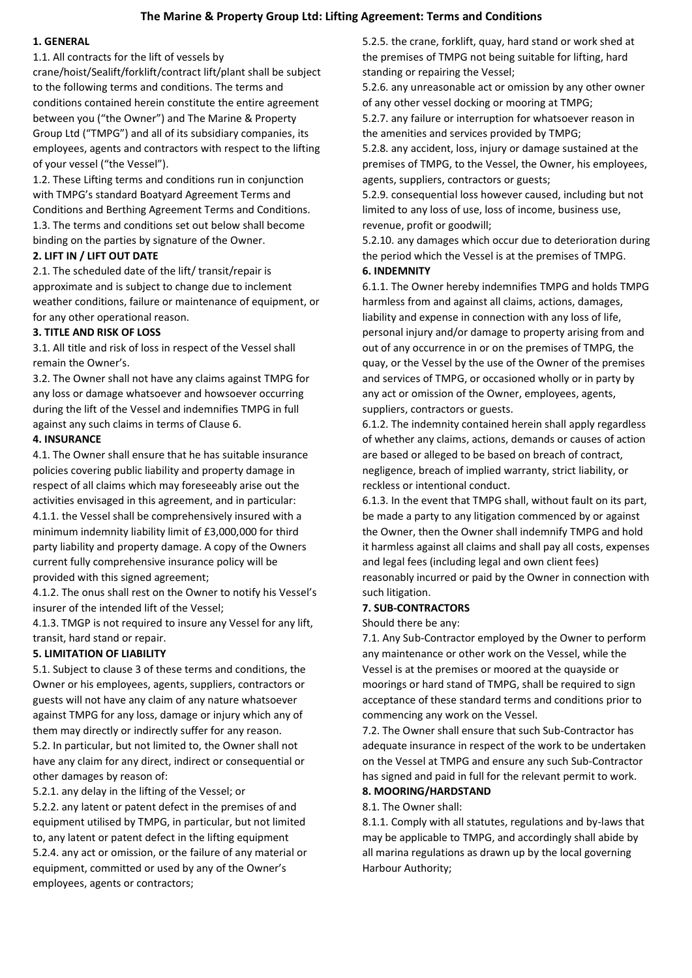### **The Marine & Property Group Ltd: Lifting Agreement: Terms and Conditions**

## **1. GENERAL**

1.1. All contracts for the lift of vessels by

crane/hoist/Sealift/forklift/contract lift/plant shall be subject to the following terms and conditions. The terms and conditions contained herein constitute the entire agreement between you ("the Owner") and The Marine & Property Group Ltd ("TMPG") and all of its subsidiary companies, its employees, agents and contractors with respect to the lifting of your vessel ("the Vessel").

1.2. These Lifting terms and conditions run in conjunction with TMPG's standard Boatyard Agreement Terms and Conditions and Berthing Agreement Terms and Conditions. 1.3. The terms and conditions set out below shall become binding on the parties by signature of the Owner.

### **2. LIFT IN / LIFT OUT DATE**

2.1. The scheduled date of the lift/ transit/repair is approximate and is subject to change due to inclement weather conditions, failure or maintenance of equipment, or for any other operational reason.

### **3. TITLE AND RISK OF LOSS**

3.1. All title and risk of loss in respect of the Vessel shall remain the Owner's.

3.2. The Owner shall not have any claims against TMPG for any loss or damage whatsoever and howsoever occurring during the lift of the Vessel and indemnifies TMPG in full against any such claims in terms of Clause 6.

### **4. INSURANCE**

4.1. The Owner shall ensure that he has suitable insurance policies covering public liability and property damage in respect of all claims which may foreseeably arise out the activities envisaged in this agreement, and in particular: 4.1.1. the Vessel shall be comprehensively insured with a

minimum indemnity liability limit of £3,000,000 for third party liability and property damage. A copy of the Owners current fully comprehensive insurance policy will be provided with this signed agreement;

4.1.2. The onus shall rest on the Owner to notify his Vessel's insurer of the intended lift of the Vessel;

4.1.3. TMGP is not required to insure any Vessel for any lift, transit, hard stand or repair.

### **5. LIMITATION OF LIABILITY**

5.1. Subject to clause 3 of these terms and conditions, the Owner or his employees, agents, suppliers, contractors or guests will not have any claim of any nature whatsoever against TMPG for any loss, damage or injury which any of them may directly or indirectly suffer for any reason. 5.2. In particular, but not limited to, the Owner shall not have any claim for any direct, indirect or consequential or other damages by reason of:

5.2.1. any delay in the lifting of the Vessel; or

5.2.2. any latent or patent defect in the premises of and equipment utilised by TMPG, in particular, but not limited to, any latent or patent defect in the lifting equipment 5.2.4. any act or omission, or the failure of any material or equipment, committed or used by any of the Owner's employees, agents or contractors;

5.2.5. the crane, forklift, quay, hard stand or work shed at the premises of TMPG not being suitable for lifting, hard standing or repairing the Vessel;

5.2.6. any unreasonable act or omission by any other owner of any other vessel docking or mooring at TMPG;

5.2.7. any failure or interruption for whatsoever reason in the amenities and services provided by TMPG;

5.2.8. any accident, loss, injury or damage sustained at the premises of TMPG, to the Vessel, the Owner, his employees, agents, suppliers, contractors or guests;

5.2.9. consequential loss however caused, including but not limited to any loss of use, loss of income, business use, revenue, profit or goodwill;

5.2.10. any damages which occur due to deterioration during the period which the Vessel is at the premises of TMPG.

#### **6. INDEMNITY**

6.1.1. The Owner hereby indemnifies TMPG and holds TMPG harmless from and against all claims, actions, damages, liability and expense in connection with any loss of life, personal injury and/or damage to property arising from and out of any occurrence in or on the premises of TMPG, the quay, or the Vessel by the use of the Owner of the premises and services of TMPG, or occasioned wholly or in party by any act or omission of the Owner, employees, agents, suppliers, contractors or guests.

6.1.2. The indemnity contained herein shall apply regardless of whether any claims, actions, demands or causes of action are based or alleged to be based on breach of contract, negligence, breach of implied warranty, strict liability, or reckless or intentional conduct.

6.1.3. In the event that TMPG shall, without fault on its part, be made a party to any litigation commenced by or against the Owner, then the Owner shall indemnify TMPG and hold it harmless against all claims and shall pay all costs, expenses and legal fees (including legal and own client fees) reasonably incurred or paid by the Owner in connection with such litigation.

#### **7. SUB-CONTRACTORS**

Should there be any:

7.1. Any Sub-Contractor employed by the Owner to perform any maintenance or other work on the Vessel, while the Vessel is at the premises or moored at the quayside or moorings or hard stand of TMPG, shall be required to sign acceptance of these standard terms and conditions prior to commencing any work on the Vessel.

7.2. The Owner shall ensure that such Sub-Contractor has adequate insurance in respect of the work to be undertaken on the Vessel at TMPG and ensure any such Sub-Contractor has signed and paid in full for the relevant permit to work. **8. MOORING/HARDSTAND** 

# 8.1. The Owner shall:

8.1.1. Comply with all statutes, regulations and by-laws that may be applicable to TMPG, and accordingly shall abide by all marina regulations as drawn up by the local governing Harbour Authority;